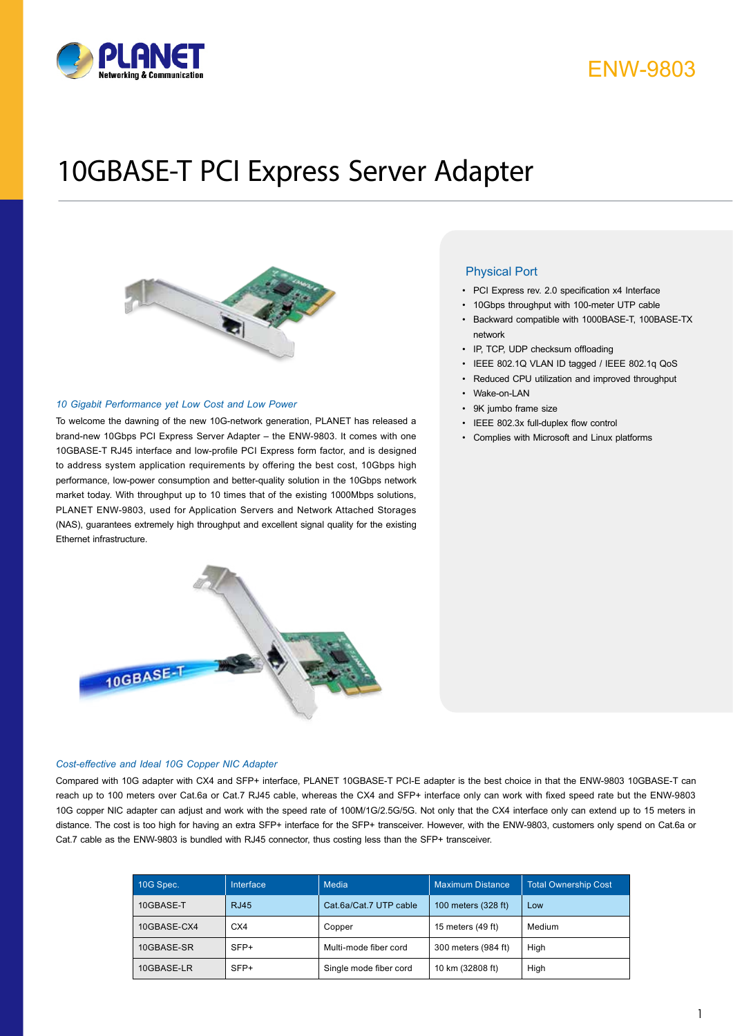

# 10GBASE-T PCI Express Server Adapter



#### *10 Gigabit Performance yet Low Cost and Low Power*

To welcome the dawning of the new 10G-network generation, PLANET has released a brand-new 10Gbps PCI Express Server Adapter – the ENW-9803. It comes with one 10GBASE-T RJ45 interface and low-profile PCI Express form factor, and is designed to address system application requirements by offering the best cost, 10Gbps high performance, low-power consumption and better-quality solution in the 10Gbps network market today. With throughput up to 10 times that of the existing 1000Mbps solutions, PLANET ENW-9803, used for Application Servers and Network Attached Storages (NAS), guarantees extremely high throughput and excellent signal quality for the existing Ethernet infrastructure.



### *Cost-effective and Ideal 10G Copper NIC Adapter*

Compared with 10G adapter with CX4 and SFP+ interface, PLANET 10GBASE-T PCI-E adapter is the best choice in that the ENW-9803 10GBASE-T can reach up to 100 meters over Cat.6a or Cat.7 RJ45 cable, whereas the CX4 and SFP+ interface only can work with fixed speed rate but the ENW-9803 10G copper NIC adapter can adjust and work with the speed rate of 100M/1G/2.5G/5G. Not only that the CX4 interface only can extend up to 15 meters in distance. The cost is too high for having an extra SFP+ interface for the SFP+ transceiver. However, with the ENW-9803, customers only spend on Cat.6a or Cat.7 cable as the ENW-9803 is bundled with RJ45 connector, thus costing less than the SFP+ transceiver.

| 10G Spec.   | Interface   | Media                  | <b>Maximum Distance</b> | <b>Total Ownership Cost</b> |
|-------------|-------------|------------------------|-------------------------|-----------------------------|
| 10GBASE-T   | <b>RJ45</b> | Cat.6a/Cat.7 UTP cable | 100 meters (328 ft)     | Low                         |
| 10GBASE-CX4 | CX4         | Copper                 | 15 meters (49 ft)       | Medium                      |
| 10GBASE-SR  | SFP+        | Multi-mode fiber cord  | 300 meters (984 ft)     | High                        |
| 10GBASE-LR  | SFP+        | Single mode fiber cord | 10 km (32808 ft)        | High                        |

### Physical Port

- PCI Express rev. 2.0 specification x4 Interface
- • 10Gbps throughput with 100-meter UTP cable
- • Backward compatible with 1000BASE-T, 100BASE-TX network
- IP, TCP, UDP checksum offloading
- IEEE 802.1Q VLAN ID tagged / IEEE 802.1q QoS
- Reduced CPU utilization and improved throughput
- Wake-on-LAN
- 9K jumbo frame size
- • IEEE 802.3x full-duplex flow control
- • Complies with Microsoft and Linux platforms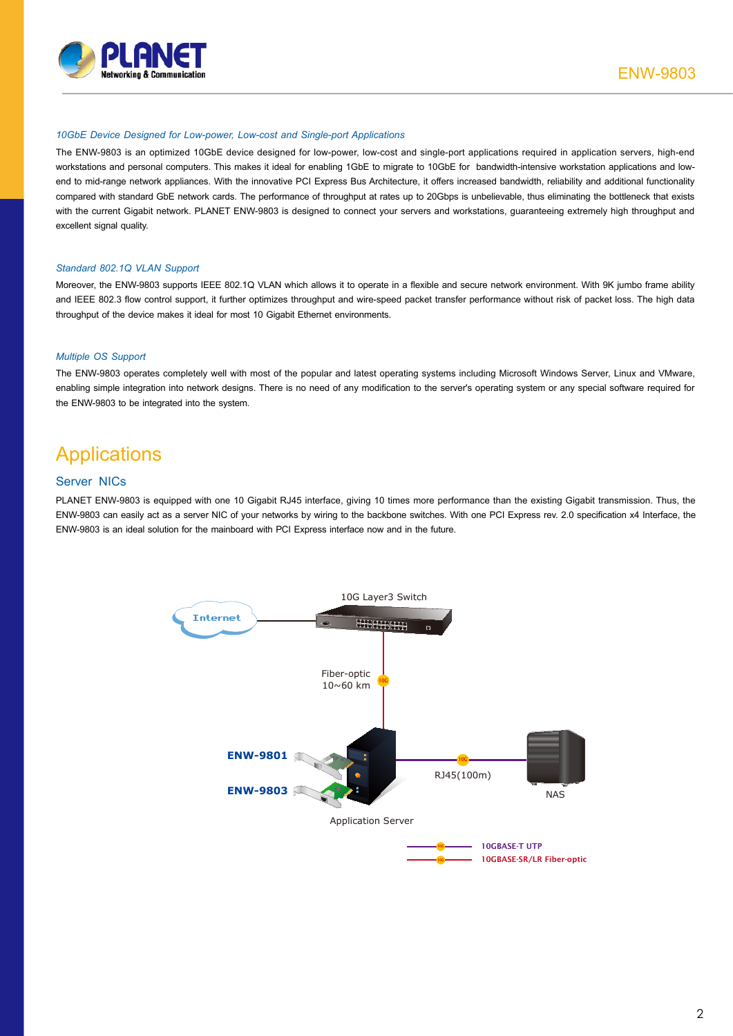

#### *10GbE Device Designed for Low-power, Low-cost and Single-port Applications*

The ENW-9803 is an optimized 10GbE device designed for low-power, low-cost and single-port applications required in application servers, high-end workstations and personal computers. This makes it ideal for enabling 1GbE to migrate to 10GbE for bandwidth-intensive workstation applications and lowend to mid-range network appliances. With the innovative PCI Express Bus Architecture, it offers increased bandwidth, reliability and additional functionality compared with standard GbE network cards. The performance of throughput at rates up to 20Gbps is unbelievable, thus eliminating the bottleneck that exists with the current Gigabit network. PLANET ENW-9803 is designed to connect your servers and workstations, guaranteeing extremely high throughput and excellent signal quality.

#### *Standard 802.1Q VLAN Support*

Moreover, the ENW-9803 supports IEEE 802.1Q VLAN which allows it to operate in a flexible and secure network environment. With 9K jumbo frame ability and IEEE 802.3 flow control support, it further optimizes throughput and wire-speed packet transfer performance without risk of packet loss. The high data throughput of the device makes it ideal for most 10 Gigabit Ethernet environments.

### *Multiple OS Support*

The ENW-9803 operates completely well with most of the popular and latest operating systems including Microsoft Windows Server, Linux and VMware, enabling simple integration into network designs. There is no need of any modification to the server's operating system or any special software required for the ENW-9803 to be integrated into the system.

### **Applications**

### Server NICs

PLANET ENW-9803 is equipped with one 10 Gigabit RJ45 interface, giving 10 times more performance than the existing Gigabit transmission. Thus, the ENW-9803 can easily act as a server NIC of your networks by wiring to the backbone switches. With one PCI Express rev. 2.0 specification x4 Interface, the ENW-9803 is an ideal solution for the mainboard with PCI Express interface now and in the future.